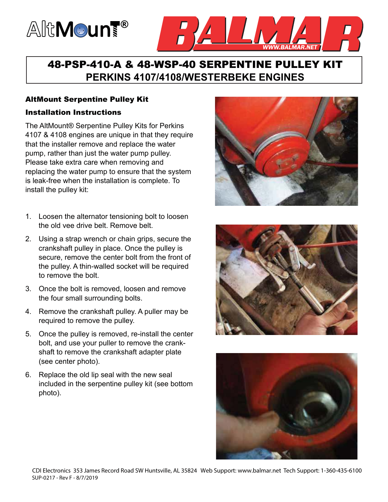# AltMoun<sup>t®</sup>



## 48-PSP-410-A & 48-WSP-40 SERPENTINE PULLEY KIT **PERKINS 4107/4108/WESTERBEKE ENGINES**

#### AltMount Serpentine Pulley Kit

#### Installation Instructions

The AltMount® Serpentine Pulley Kits for Perkins 4107 & 4108 engines are unique in that they require that the installer remove and replace the water pump, rather than just the water pump pulley. Please take extra care when removing and replacing the water pump to ensure that the system is leak-free when the installation is complete. To install the pulley kit:

- 1. Loosen the alternator tensioning bolt to loosen the old vee drive belt. Remove belt.
- 2. Using a strap wrench or chain grips, secure the crankshaft pulley in place. Once the pulley is secure, remove the center bolt from the front of the pulley. A thin-walled socket will be required to remove the bolt.
- 3. Once the bolt is removed, loosen and remove the four small surrounding bolts.
- 4. Remove the crankshaft pulley. A puller may be required to remove the pulley.
- 5. Once the pulley is removed, re-install the center bolt, and use your puller to remove the crankshaft to remove the crankshaft adapter plate (see center photo).
- 6. Replace the old lip seal with the new seal included in the serpentine pulley kit (see bottom photo).





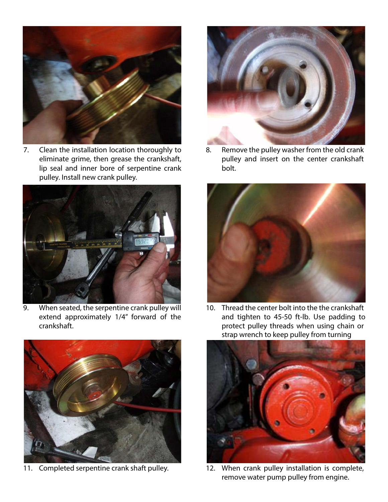

7. Clean the installation location thoroughly to eliminate grime, then grease the crankshaft, lip seal and inner bore of serpentine crank pulley. Install new crank pulley.



9. When seated, the serpentine crank pulley will extend approximately 1/4" forward of the crankshaft.



11. Completed serpentine crank shaft pulley.



8. Remove the pulley washer from the old crank pulley and insert on the center crankshaft bolt.



10. Thread the center bolt into the the crankshaft and tighten to 45-50 ft-lb. Use padding to protect pulley threads when using chain or strap wrench to keep pulley from turning



12. When crank pulley installation is complete, remove water pump pulley from engine.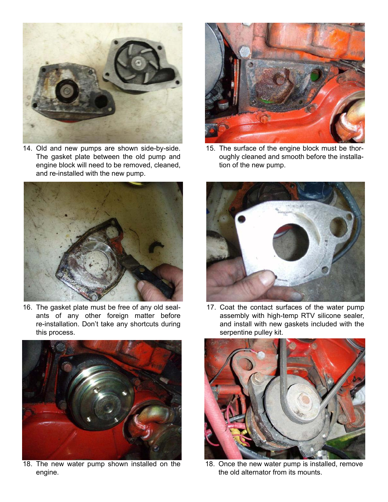

14. Old and new pumps are shown side-by-side. The gasket plate between the old pump and engine block will need to be removed, cleaned, and re-installed with the new pump.



16. The gasket plate must be free of any old sealants of any other foreign matter before re-installation. Don't take any shortcuts during this process.



18. The new water pump shown installed on the engine.



15. The surface of the engine block must be thoroughly cleaned and smooth before the installation of the new pump.



17. Coat the contact surfaces of the water pump assembly with high-temp RTV silicone sealer, and install with new gaskets included with the serpentine pulley kit.



18. Once the new water pump is installed, remove the old alternator from its mounts.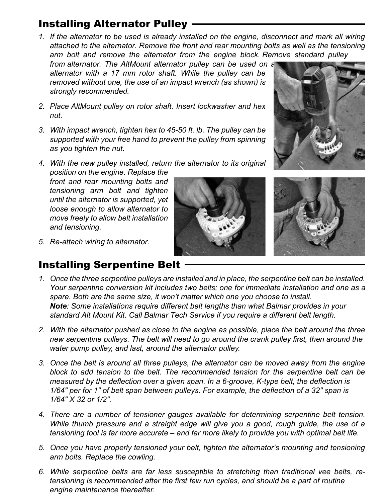# Installing Alternator Pulley

*1. If the alternator to be used is already installed on the engine, disconnect and mark all wiring attached to the alternator. Remove the front and rear mounting bolts as well as the tensioning arm bolt and remove the alternator from the engine block. Remove standard pulley* 

*from alternator. The AltMount alternator pulley can be used on a alternator with a 17 mm rotor shaft. While the pulley can be removed without one, the use of an impact wrench (as shown) is strongly recommended.*

- *2. Place AltMount pulley on rotor shaft. Insert lockwasher and hex nut.*
- *3. With impact wrench, tighten hex to 45-50 ft. lb. The pulley can be supported with your free hand to prevent the pulley from spinning as you tighten the nut.*
- *4. With the new pulley installed, return the alternator to its original position on the engine. Replace the*

*front and rear mounting bolts and tensioning arm bolt and tighten until the alternator is supported, yet loose enough to allow alternator to move freely to allow belt installation and tensioning.*





*5. Re-attach wiring to alternator.*

# Installing Serpentine Belt

- *1. Once the three serpentine pulleys are installed and in place, the serpentine belt can be installed. Your serpentine conversion kit includes two belts; one for immediate installation and one as a spare. Both are the same size, it won't matter which one you choose to install. Note: Some installations require different belt lengths than what Balmar provides in your standard Alt Mount Kit. Call Balmar Tech Service if you require a different belt length.*
- *2. With the alternator pushed as close to the engine as possible, place the belt around the three new serpentine pulleys. The belt will need to go around the crank pulley first, then around the water pump pulley, and last, around the alternator pulley.*
- *3. Once the belt is around all three pulleys, the alternator can be moved away from the engine block to add tension to the belt. The recommended tension for the serpentine belt can be measured by the deflection over a given span. In a 6-groove, K-type belt, the deflection is 1/64" per for 1" of belt span between pulleys. For example, the deflection of a 32" span is 1/64" X 32 or 1/2".*
- *4. There are a number of tensioner gauges available for determining serpentine belt tension. While thumb pressure and a straight edge will give you a good, rough guide, the use of a tensioning tool is far more accurate – and far more likely to provide you with optimal belt life.*
- *5. Once you have properly tensioned your belt, tighten the alternator's mounting and tensioning arm bolts. Replace the cowling.*
- *6. While serpentine belts are far less susceptible to stretching than traditional vee belts, retensioning is recommended after the first few run cycles, and should be a part of routine engine maintenance thereafter.*